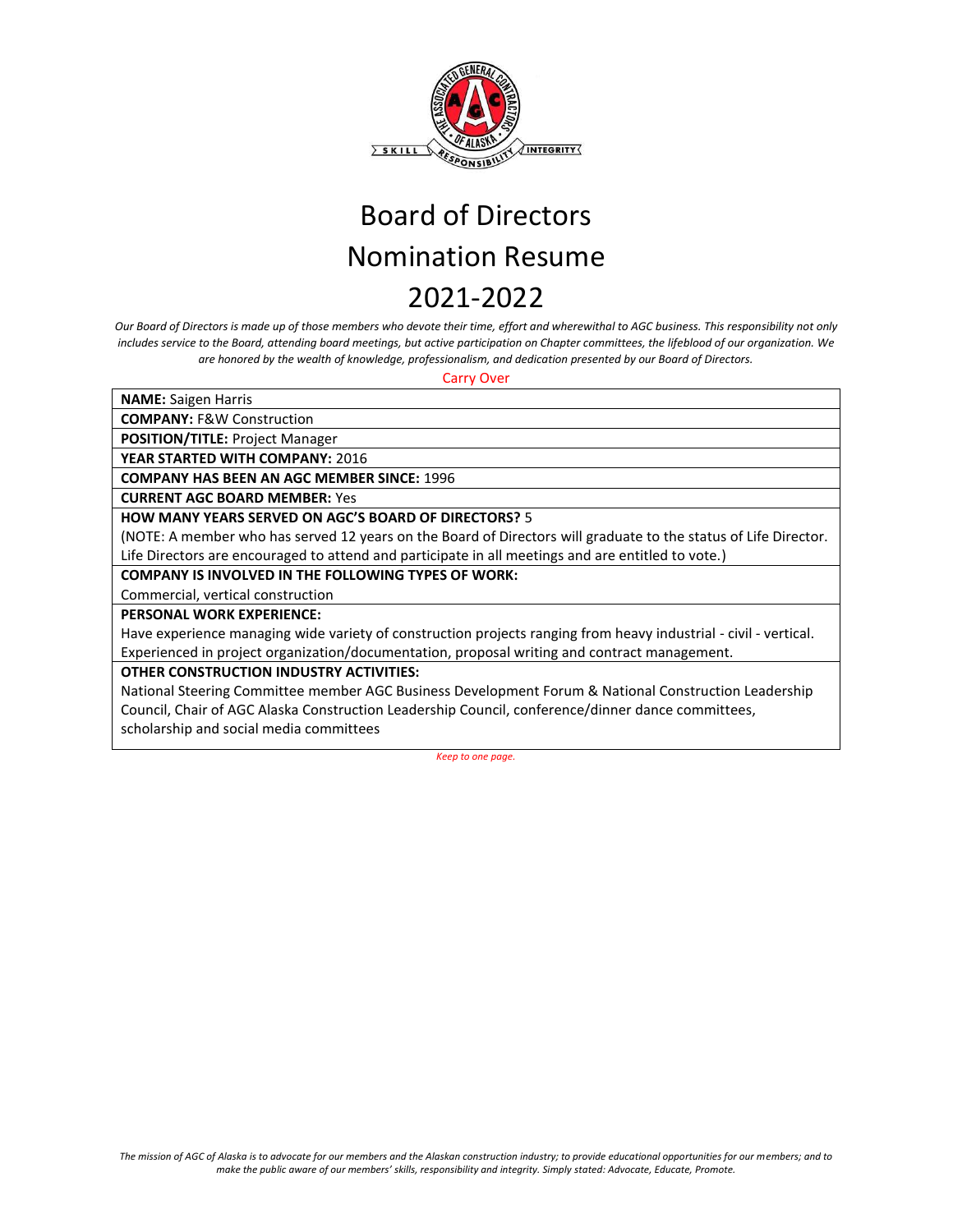

*Our Board of Directors is made up of those members who devote their time, effort and wherewithal to AGC business. This responsibility not only includes service to the Board, attending board meetings, but active participation on Chapter committees, the lifeblood of our organization. We are honored by the wealth of knowledge, professionalism, and dedication presented by our Board of Directors.* 

Carry Over

**NAME:** Saigen Harris

**COMPANY:** F&W Construction

**POSITION/TITLE:** Project Manager

**YEAR STARTED WITH COMPANY:** 2016

**COMPANY HAS BEEN AN AGC MEMBER SINCE:** 1996

**CURRENT AGC BOARD MEMBER:** Yes

### **HOW MANY YEARS SERVED ON AGC'S BOARD OF DIRECTORS?** 5

(NOTE: A member who has served 12 years on the Board of Directors will graduate to the status of Life Director. Life Directors are encouraged to attend and participate in all meetings and are entitled to vote.)

#### **COMPANY IS INVOLVED IN THE FOLLOWING TYPES OF WORK:**

Commercial, vertical construction

**PERSONAL WORK EXPERIENCE:** 

Have experience managing wide variety of construction projects ranging from heavy industrial - civil - vertical. Experienced in project organization/documentation, proposal writing and contract management.

### **OTHER CONSTRUCTION INDUSTRY ACTIVITIES:**

National Steering Committee member AGC Business Development Forum & National Construction Leadership Council, Chair of AGC Alaska Construction Leadership Council, conference/dinner dance committees, scholarship and social media committees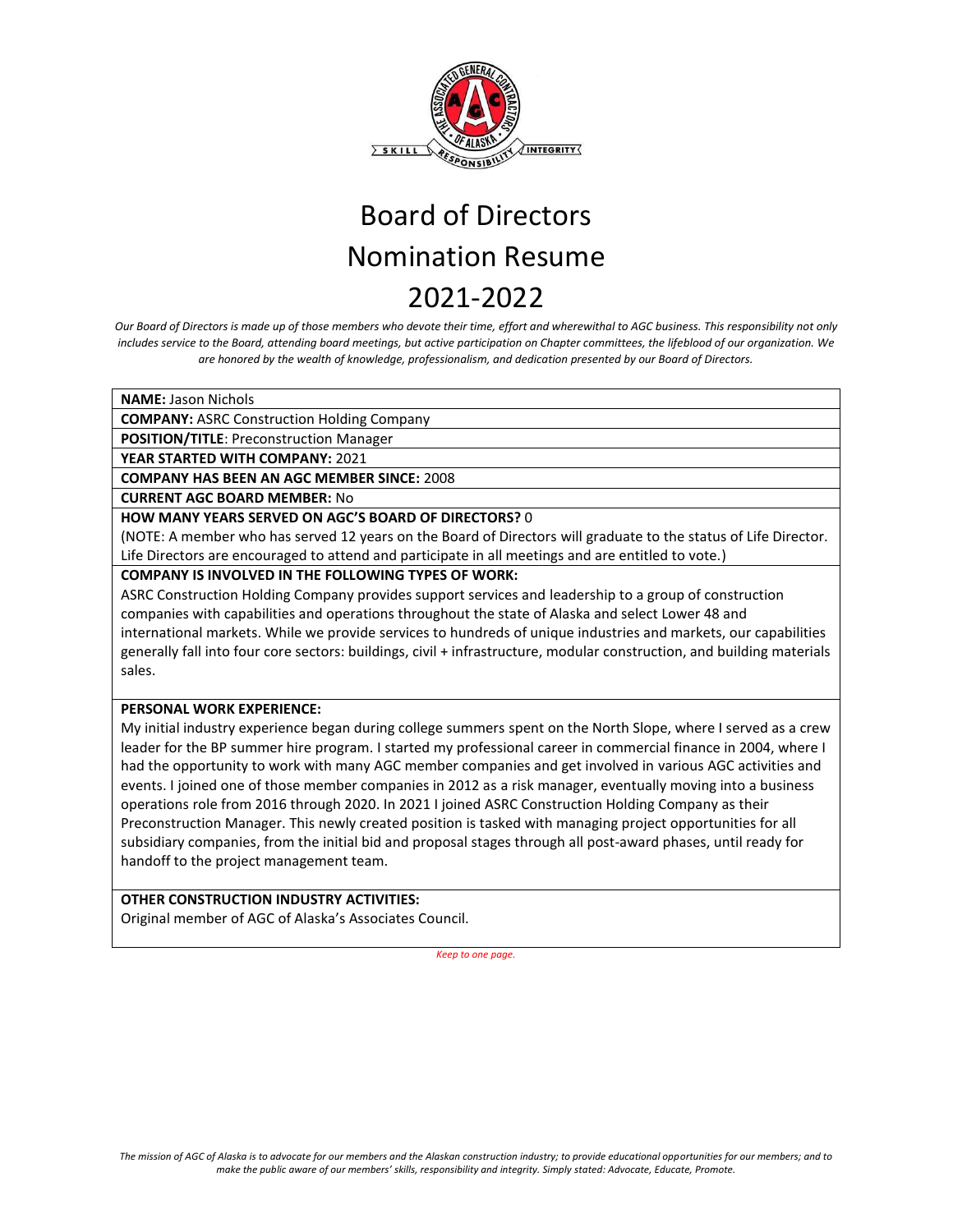

*Our Board of Directors is made up of those members who devote their time, effort and wherewithal to AGC business. This responsibility not only includes service to the Board, attending board meetings, but active participation on Chapter committees, the lifeblood of our organization. We are honored by the wealth of knowledge, professionalism, and dedication presented by our Board of Directors.* 

**NAME:** Jason Nichols

**COMPANY:** ASRC Construction Holding Company

**POSITION/TITLE**: Preconstruction Manager

**YEAR STARTED WITH COMPANY:** 2021

**COMPANY HAS BEEN AN AGC MEMBER SINCE:** 2008

**CURRENT AGC BOARD MEMBER:** No

### **HOW MANY YEARS SERVED ON AGC'S BOARD OF DIRECTORS?** 0

(NOTE: A member who has served 12 years on the Board of Directors will graduate to the status of Life Director. Life Directors are encouraged to attend and participate in all meetings and are entitled to vote.)

### **COMPANY IS INVOLVED IN THE FOLLOWING TYPES OF WORK:**

ASRC Construction Holding Company provides support services and leadership to a group of construction companies with capabilities and operations throughout the state of Alaska and select Lower 48 and international markets. While we provide services to hundreds of unique industries and markets, our capabilities generally fall into four core sectors: buildings, civil + infrastructure, modular construction, and building materials sales.

### **PERSONAL WORK EXPERIENCE:**

My initial industry experience began during college summers spent on the North Slope, where I served as a crew leader for the BP summer hire program. I started my professional career in commercial finance in 2004, where I had the opportunity to work with many AGC member companies and get involved in various AGC activities and events. I joined one of those member companies in 2012 as a risk manager, eventually moving into a business operations role from 2016 through 2020. In 2021 I joined ASRC Construction Holding Company as their Preconstruction Manager. This newly created position is tasked with managing project opportunities for all subsidiary companies, from the initial bid and proposal stages through all post-award phases, until ready for handoff to the project management team.

### **OTHER CONSTRUCTION INDUSTRY ACTIVITIES:**

Original member of AGC of Alaska's Associates Council.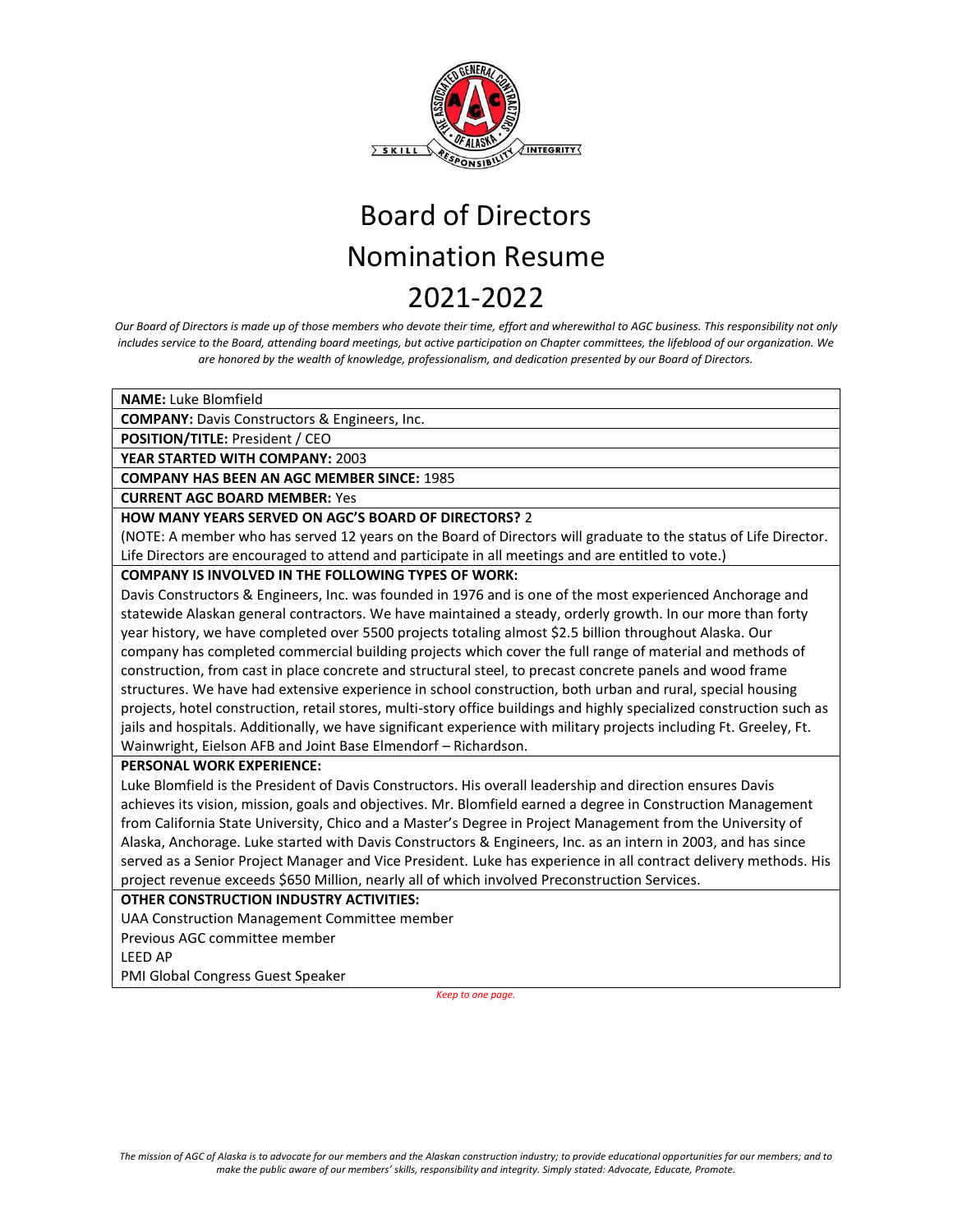

*Our Board of Directors is made up of those members who devote their time, effort and wherewithal to AGC business. This responsibility not only includes service to the Board, attending board meetings, but active participation on Chapter committees, the lifeblood of our organization. We are honored by the wealth of knowledge, professionalism, and dedication presented by our Board of Directors.* 

**NAME:** Luke Blomfield

**COMPANY:** Davis Constructors & Engineers, Inc.

**POSITION/TITLE:** President / CEO

**YEAR STARTED WITH COMPANY:** 2003

**COMPANY HAS BEEN AN AGC MEMBER SINCE:** 1985

**CURRENT AGC BOARD MEMBER:** Yes

### **HOW MANY YEARS SERVED ON AGC'S BOARD OF DIRECTORS?** 2

(NOTE: A member who has served 12 years on the Board of Directors will graduate to the status of Life Director. Life Directors are encouraged to attend and participate in all meetings and are entitled to vote.)

**COMPANY IS INVOLVED IN THE FOLLOWING TYPES OF WORK:** 

Davis Constructors & Engineers, Inc. was founded in 1976 and is one of the most experienced Anchorage and statewide Alaskan general contractors. We have maintained a steady, orderly growth. In our more than forty year history, we have completed over 5500 projects totaling almost \$2.5 billion throughout Alaska. Our company has completed commercial building projects which cover the full range of material and methods of construction, from cast in place concrete and structural steel, to precast concrete panels and wood frame structures. We have had extensive experience in school construction, both urban and rural, special housing projects, hotel construction, retail stores, multi-story office buildings and highly specialized construction such as jails and hospitals. Additionally, we have significant experience with military projects including Ft. Greeley, Ft. Wainwright, Eielson AFB and Joint Base Elmendorf – Richardson.

### **PERSONAL WORK EXPERIENCE:**

Luke Blomfield is the President of Davis Constructors. His overall leadership and direction ensures Davis achieves its vision, mission, goals and objectives. Mr. Blomfield earned a degree in Construction Management from California State University, Chico and a Master's Degree in Project Management from the University of Alaska, Anchorage. Luke started with Davis Constructors & Engineers, Inc. as an intern in 2003, and has since served as a Senior Project Manager and Vice President. Luke has experience in all contract delivery methods. His project revenue exceeds \$650 Million, nearly all of which involved Preconstruction Services.

### **OTHER CONSTRUCTION INDUSTRY ACTIVITIES:**

UAA Construction Management Committee member

Previous AGC committee member

LEED AP

PMI Global Congress Guest Speaker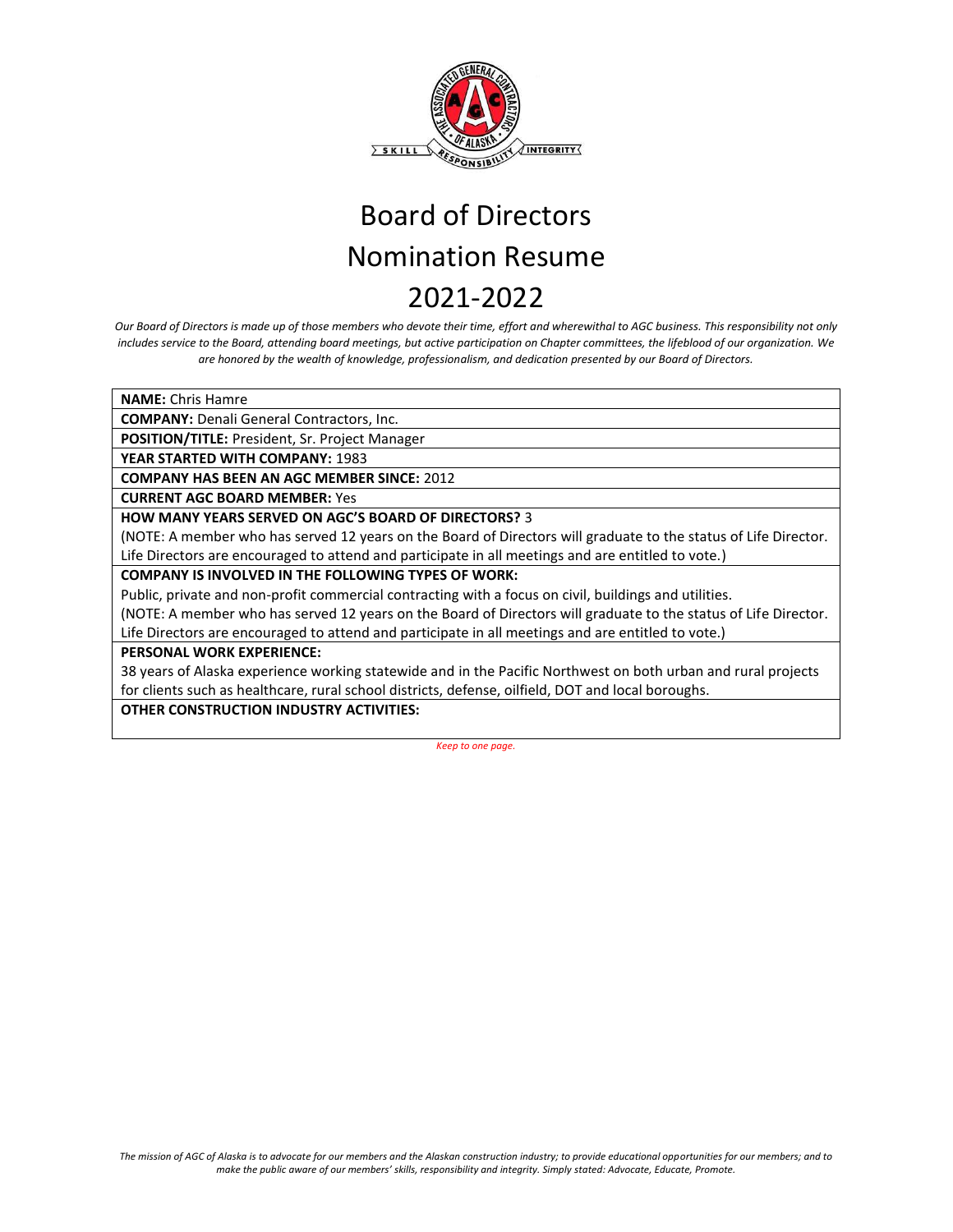

*Our Board of Directors is made up of those members who devote their time, effort and wherewithal to AGC business. This responsibility not only includes service to the Board, attending board meetings, but active participation on Chapter committees, the lifeblood of our organization. We are honored by the wealth of knowledge, professionalism, and dedication presented by our Board of Directors.* 

**NAME:** Chris Hamre

**COMPANY:** Denali General Contractors, Inc.

**POSITION/TITLE:** President, Sr. Project Manager

**YEAR STARTED WITH COMPANY:** 1983

**COMPANY HAS BEEN AN AGC MEMBER SINCE:** 2012

**CURRENT AGC BOARD MEMBER:** Yes

**HOW MANY YEARS SERVED ON AGC'S BOARD OF DIRECTORS?** 3

(NOTE: A member who has served 12 years on the Board of Directors will graduate to the status of Life Director. Life Directors are encouraged to attend and participate in all meetings and are entitled to vote.)

**COMPANY IS INVOLVED IN THE FOLLOWING TYPES OF WORK:** 

Public, private and non-profit commercial contracting with a focus on civil, buildings and utilities.

(NOTE: A member who has served 12 years on the Board of Directors will graduate to the status of Life Director. Life Directors are encouraged to attend and participate in all meetings and are entitled to vote.)

#### **PERSONAL WORK EXPERIENCE:**

38 years of Alaska experience working statewide and in the Pacific Northwest on both urban and rural projects for clients such as healthcare, rural school districts, defense, oilfield, DOT and local boroughs.

**OTHER CONSTRUCTION INDUSTRY ACTIVITIES:**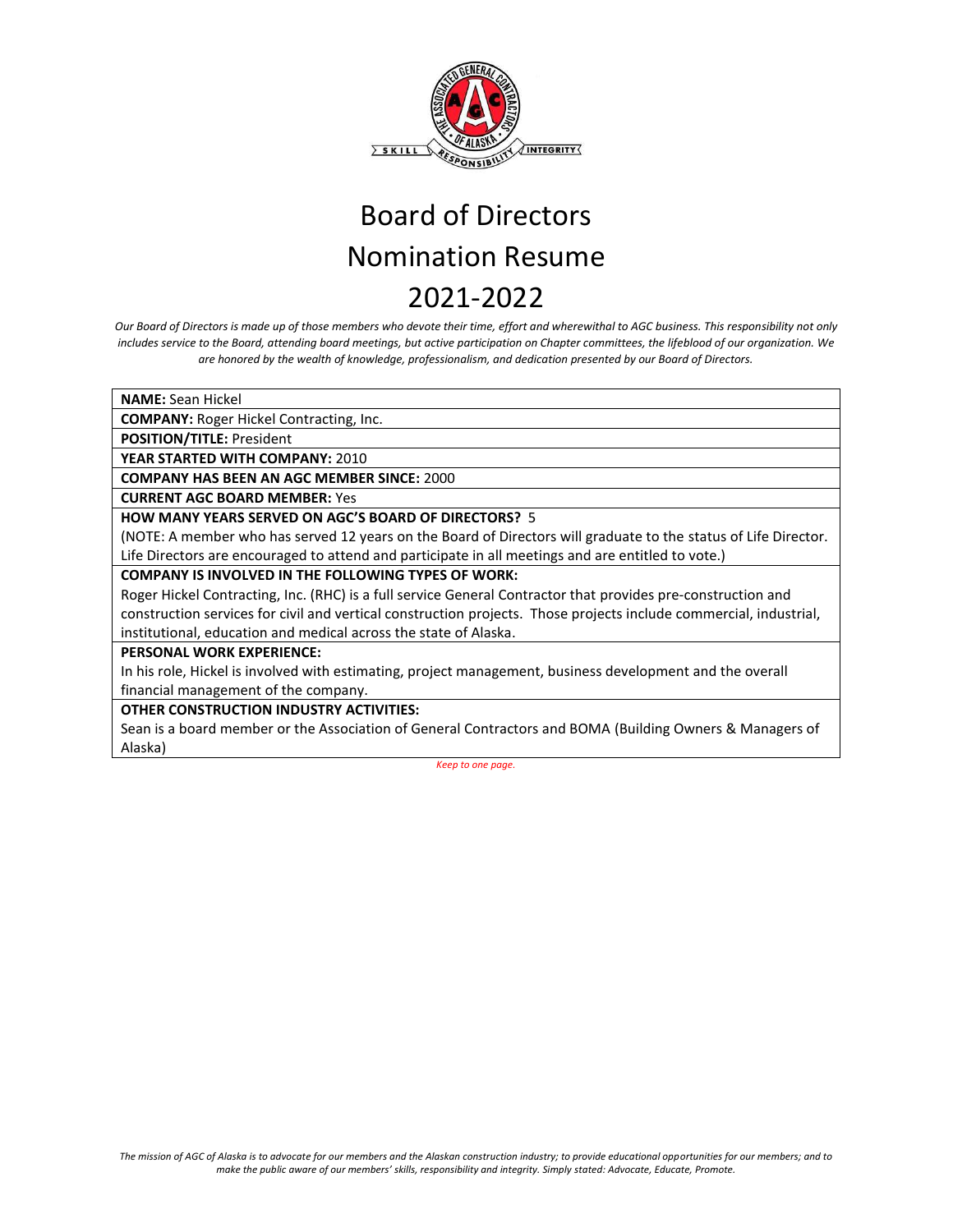

*Our Board of Directors is made up of those members who devote their time, effort and wherewithal to AGC business. This responsibility not only includes service to the Board, attending board meetings, but active participation on Chapter committees, the lifeblood of our organization. We are honored by the wealth of knowledge, professionalism, and dedication presented by our Board of Directors.* 

**NAME:** Sean Hickel

**COMPANY:** Roger Hickel Contracting, Inc.

**POSITION/TITLE:** President

**YEAR STARTED WITH COMPANY:** 2010

**COMPANY HAS BEEN AN AGC MEMBER SINCE:** 2000

**CURRENT AGC BOARD MEMBER:** Yes

**HOW MANY YEARS SERVED ON AGC'S BOARD OF DIRECTORS?** 5

(NOTE: A member who has served 12 years on the Board of Directors will graduate to the status of Life Director. Life Directors are encouraged to attend and participate in all meetings and are entitled to vote.)

**COMPANY IS INVOLVED IN THE FOLLOWING TYPES OF WORK:** 

Roger Hickel Contracting, Inc. (RHC) is a full service General Contractor that provides pre-construction and construction services for civil and vertical construction projects. Those projects include commercial, industrial, institutional, education and medical across the state of Alaska.

### **PERSONAL WORK EXPERIENCE:**

In his role, Hickel is involved with estimating, project management, business development and the overall financial management of the company.

**OTHER CONSTRUCTION INDUSTRY ACTIVITIES:** 

Sean is a board member or the Association of General Contractors and BOMA (Building Owners & Managers of Alaska)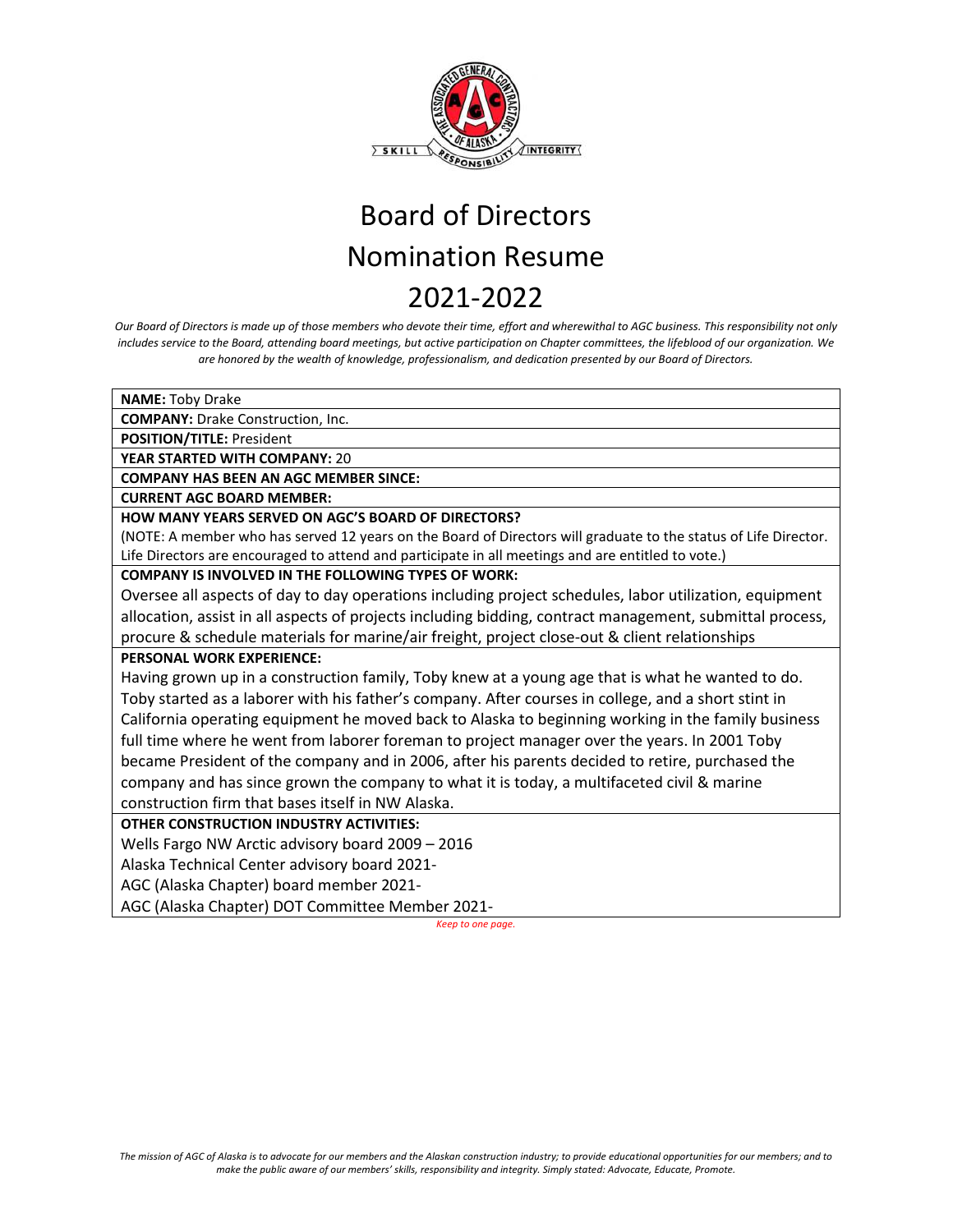

*Our Board of Directors is made up of those members who devote their time, effort and wherewithal to AGC business. This responsibility not only includes service to the Board, attending board meetings, but active participation on Chapter committees, the lifeblood of our organization. We are honored by the wealth of knowledge, professionalism, and dedication presented by our Board of Directors.*

**NAME:** Toby Drake

**COMPANY:** Drake Construction, Inc.

**POSITION/TITLE:** President

**YEAR STARTED WITH COMPANY:** 20

**COMPANY HAS BEEN AN AGC MEMBER SINCE:**

**CURRENT AGC BOARD MEMBER:**

**HOW MANY YEARS SERVED ON AGC'S BOARD OF DIRECTORS?** 

(NOTE: A member who has served 12 years on the Board of Directors will graduate to the status of Life Director. Life Directors are encouraged to attend and participate in all meetings and are entitled to vote.)

### **COMPANY IS INVOLVED IN THE FOLLOWING TYPES OF WORK:**

Oversee all aspects of day to day operations including project schedules, labor utilization, equipment allocation, assist in all aspects of projects including bidding, contract management, submittal process, procure & schedule materials for marine/air freight, project close-out & client relationships

### **PERSONAL WORK EXPERIENCE:**

Having grown up in a construction family, Toby knew at a young age that is what he wanted to do. Toby started as a laborer with his father's company. After courses in college, and a short stint in California operating equipment he moved back to Alaska to beginning working in the family business full time where he went from laborer foreman to project manager over the years. In 2001 Toby became President of the company and in 2006, after his parents decided to retire, purchased the company and has since grown the company to what it is today, a multifaceted civil & marine construction firm that bases itself in NW Alaska.

### **OTHER CONSTRUCTION INDUSTRY ACTIVITIES:**

Wells Fargo NW Arctic advisory board 2009 – 2016

Alaska Technical Center advisory board 2021-

AGC (Alaska Chapter) board member 2021-

AGC (Alaska Chapter) DOT Committee Member 2021-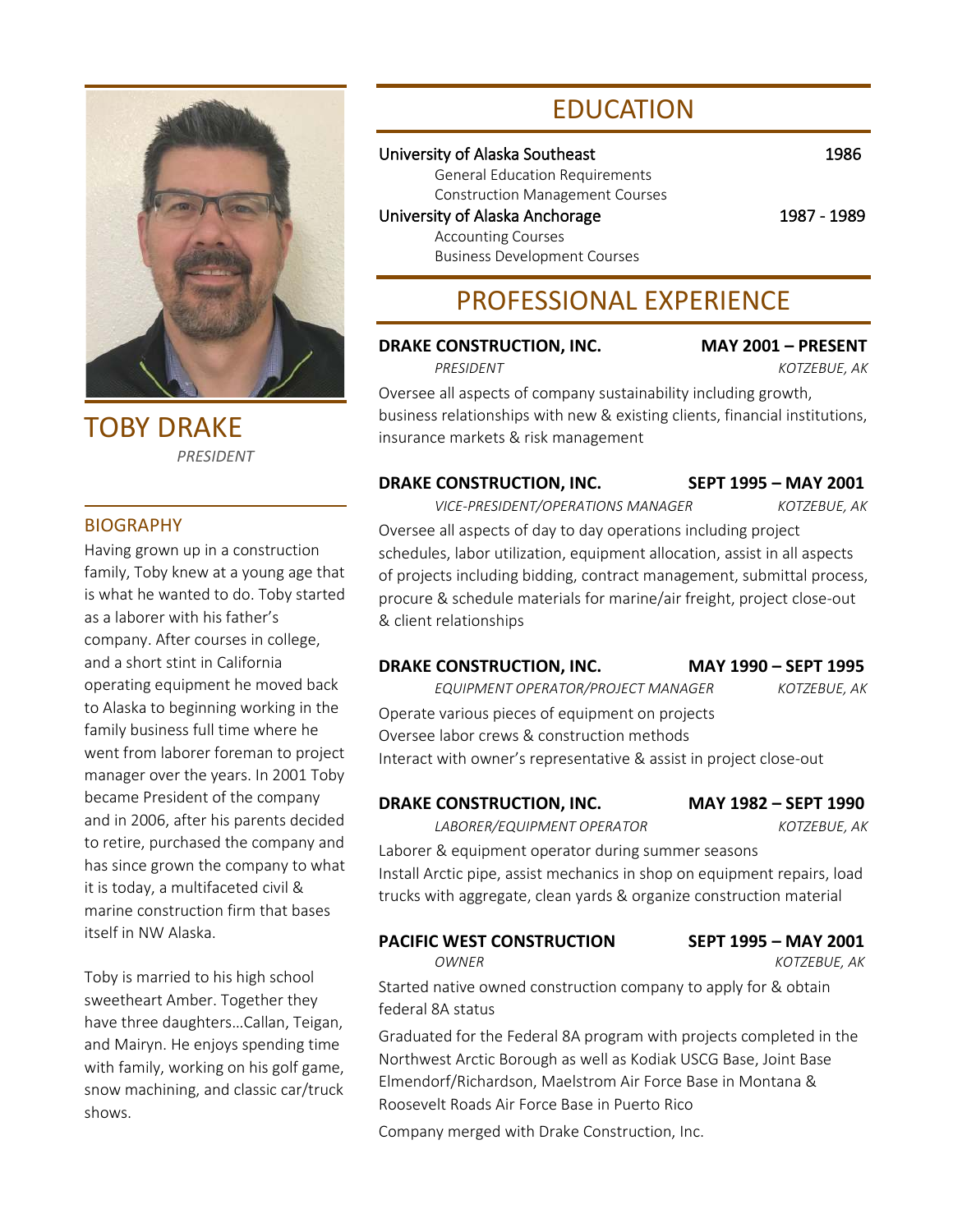

TOBY DRAKE *PRESIDENT*

### **BIOGRAPHY**

Having grown up in a construction family, Toby knew at a young age that is what he wanted to do. Toby started as a laborer with his father's company. After courses in college, and a short stint in California operating equipment he moved back to Alaska to beginning working in the family business full time where he went from laborer foreman to project manager over the years. In 2001 Toby became President of the company and in 2006, after his parents decided to retire, purchased the company and has since grown the company to what it is today, a multifaceted civil & marine construction firm that bases itself in NW Alaska.

Toby is married to his high school sweetheart Amber. Together they have three daughters…Callan, Teigan, and Mairyn. He enjoys spending time with family, working on his golf game, snow machining, and classic car/truck shows.

## EDUCATION

### University of Alaska Southeast 1986

General Education Requirements Construction Management Courses University of Alaska Anchorage 1987 - 1989 Accounting Courses Business Development Courses

## PROFESSIONAL EXPERIENCE

### **DRAKE CONSTRUCTION, INC. MAY 2001 – PRESENT**

*PRESIDENT KOTZEBUE, AK*

Oversee all aspects of company sustainability including growth, business relationships with new & existing clients, financial institutions, insurance markets & risk management

### **DRAKE CONSTRUCTION, INC. SEPT 1995 – MAY 2001**

*VICE-PRESIDENT/OPERATIONS MANAGER KOTZEBUE, AK*

Oversee all aspects of day to day operations including project schedules, labor utilization, equipment allocation, assist in all aspects of projects including bidding, contract management, submittal process, procure & schedule materials for marine/air freight, project close-out & client relationships

### **DRAKE CONSTRUCTION, INC. MAY 1990 – SEPT 1995**

*EQUIPMENT OPERATOR/PROJECT MANAGER KOTZEBUE, AK* Operate various pieces of equipment on projects Oversee labor crews & construction methods Interact with owner's representative & assist in project close-out

### **DRAKE CONSTRUCTION, INC. MAY 1982 – SEPT 1990**

*LABORER/EQUIPMENT OPERATOR KOTZEBUE, AK*

Laborer & equipment operator during summer seasons Install Arctic pipe, assist mechanics in shop on equipment repairs, load trucks with aggregate, clean yards & organize construction material

**PACIFIC WEST CONSTRUCTION SEPT 1995 – MAY 2001**

*OWNER KOTZEBUE, AK*

Started native owned construction company to apply for & obtain federal 8A status

Graduated for the Federal 8A program with projects completed in the Northwest Arctic Borough as well as Kodiak USCG Base, Joint Base Elmendorf/Richardson, Maelstrom Air Force Base in Montana & Roosevelt Roads Air Force Base in Puerto Rico

Company merged with Drake Construction, Inc.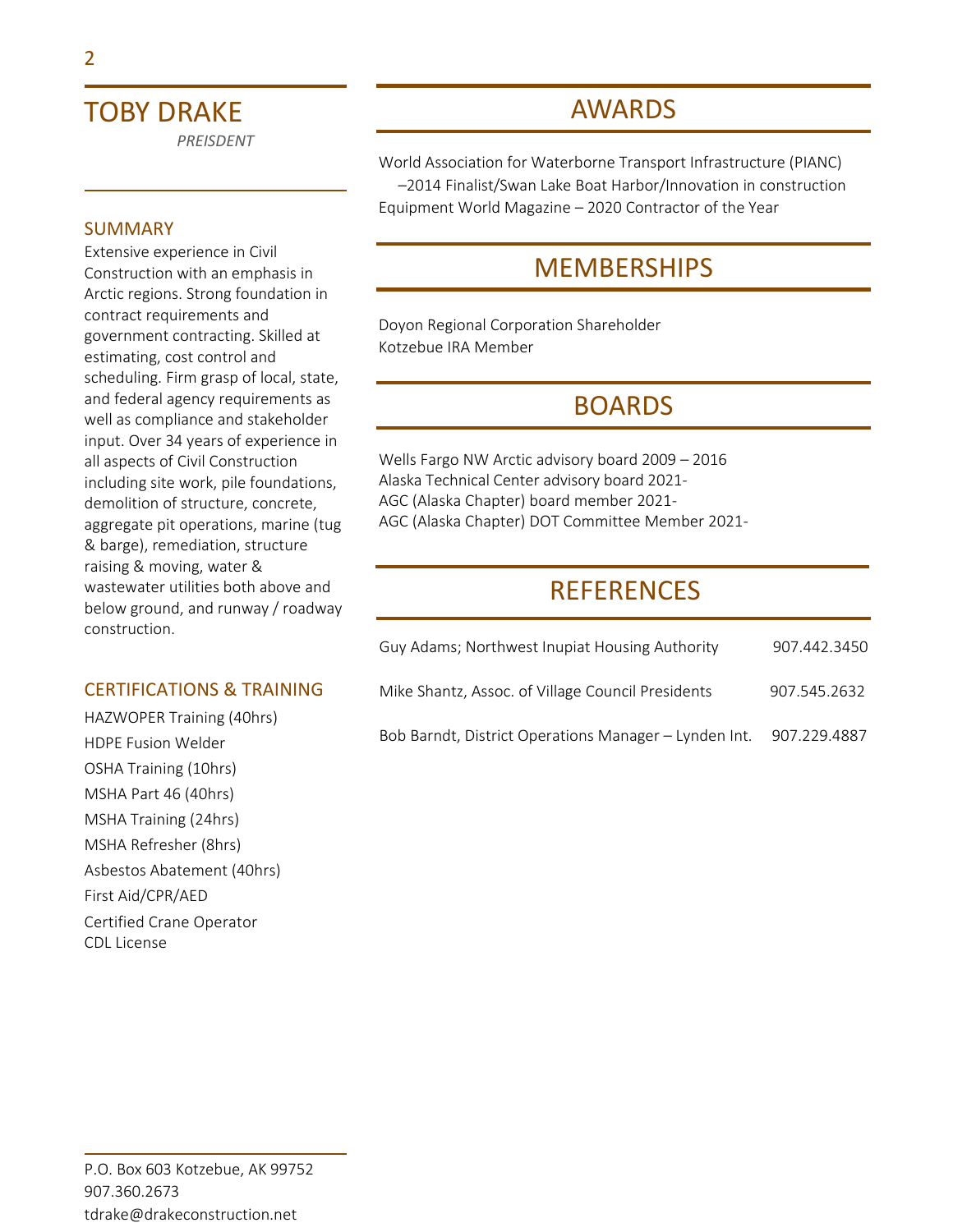## TOBY DRAKE

*PREISDENT*

### SUMMARY

Extensive experience in Civil Construction with an emphasis in Arctic regions. Strong foundation in contract requirements and government contracting. Skilled at estimating, cost control and scheduling. Firm grasp of local, state, and federal agency requirements as well as compliance and stakeholder input. Over 34 years of experience in all aspects of Civil Construction including site work, pile foundations, demolition of structure, concrete, aggregate pit operations, marine (tug & barge), remediation, structure raising & moving, water & wastewater utilities both above and below ground, and runway / roadway construction.

### CERTIFICATIONS & TRAINING

HAZWOPER Training (40hrs) HDPE Fusion Welder OSHA Training (10hrs) MSHA Part 46 (40hrs) MSHA Training (24hrs) MSHA Refresher (8hrs) Asbestos Abatement (40hrs) First Aid/CPR/AED Certified Crane Operator CDL License

## AWARDS

World Association for Waterborne Transport Infrastructure (PIANC) –2014 Finalist/Swan Lake Boat Harbor/Innovation in construction Equipment World Magazine – 2020 Contractor of the Year

### MEMBERSHIPS

Doyon Regional Corporation Shareholder Kotzebue IRA Member

### BOARDS

Wells Fargo NW Arctic advisory board 2009 – 2016 Alaska Technical Center advisory board 2021- AGC (Alaska Chapter) board member 2021- AGC (Alaska Chapter) DOT Committee Member 2021-

### **REFERENCES**

| Guy Adams; Northwest Inupiat Housing Authority        | 907.442.3450 |
|-------------------------------------------------------|--------------|
| Mike Shantz, Assoc. of Village Council Presidents     | 907.545.2632 |
| Bob Barndt, District Operations Manager - Lynden Int. | 907.229.4887 |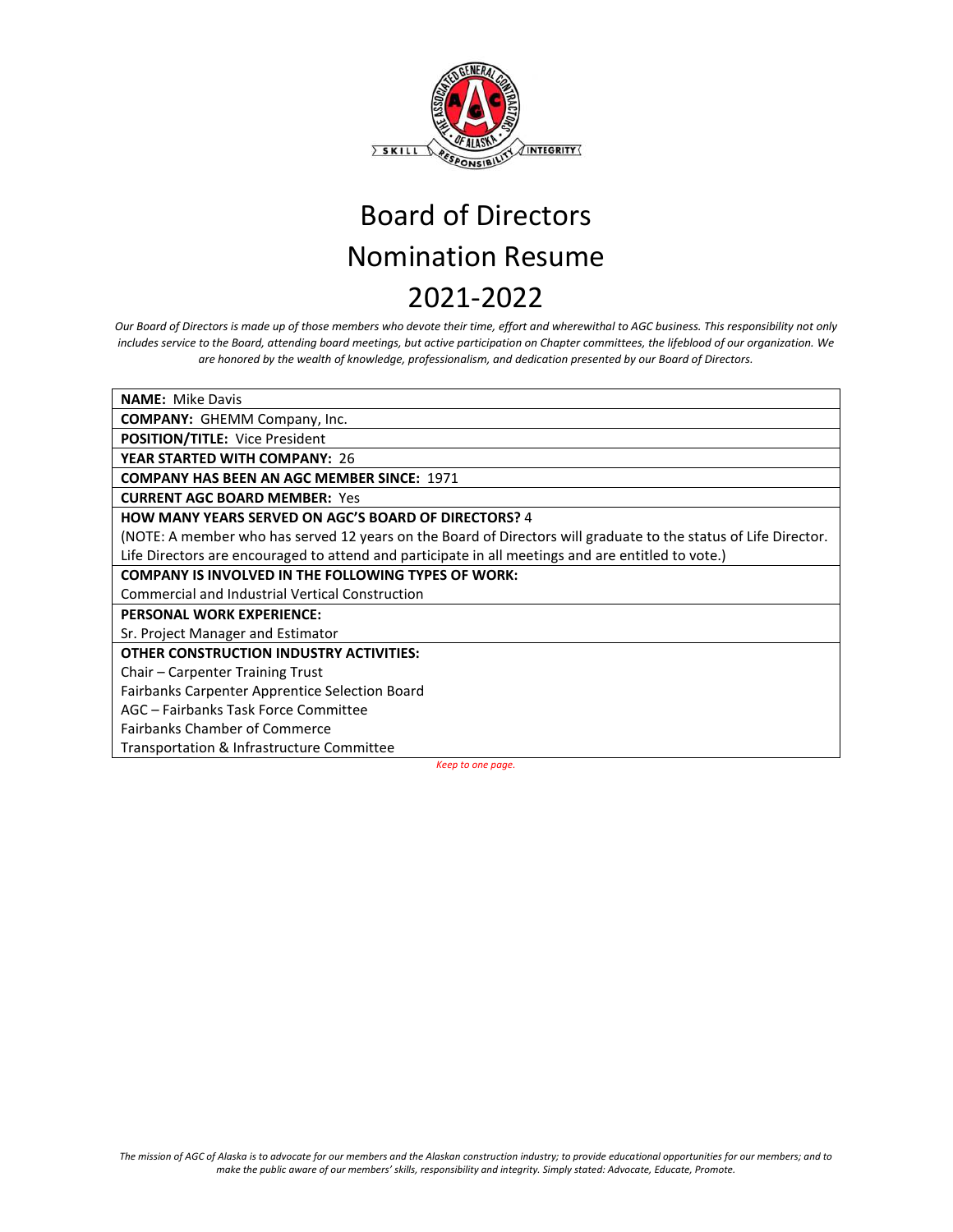

*Our Board of Directors is made up of those members who devote their time, effort and wherewithal to AGC business. This responsibility not only includes service to the Board, attending board meetings, but active participation on Chapter committees, the lifeblood of our organization. We are honored by the wealth of knowledge, professionalism, and dedication presented by our Board of Directors.*

**NAME:** Mike Davis **COMPANY:** GHEMM Company, Inc. **POSITION/TITLE:** Vice President **YEAR STARTED WITH COMPANY:** 26 **COMPANY HAS BEEN AN AGC MEMBER SINCE:** 1971 **CURRENT AGC BOARD MEMBER:** Yes **HOW MANY YEARS SERVED ON AGC'S BOARD OF DIRECTORS?** 4 (NOTE: A member who has served 12 years on the Board of Directors will graduate to the status of Life Director. Life Directors are encouraged to attend and participate in all meetings and are entitled to vote.) **COMPANY IS INVOLVED IN THE FOLLOWING TYPES OF WORK:**  Commercial and Industrial Vertical Construction **PERSONAL WORK EXPERIENCE:** Sr. Project Manager and Estimator **OTHER CONSTRUCTION INDUSTRY ACTIVITIES:** Chair – Carpenter Training Trust Fairbanks Carpenter Apprentice Selection Board AGC – Fairbanks Task Force Committee Fairbanks Chamber of Commerce Transportation & Infrastructure Committee